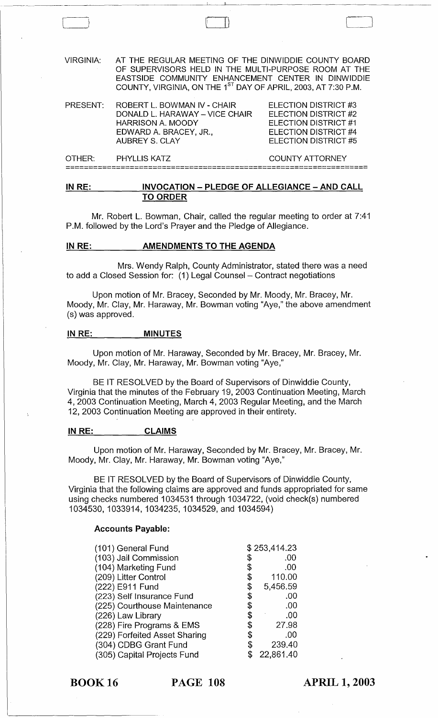VIRGINIA: AT THE REGULAR MEETING OF THE DINWIDDIE COUNTY BOARD OF SUPERVISORS HELD IN THE MULTI-PURPOSE ROOM AT THE EASTSIDE COMMUNITY ENHANCEMENT CENTER IN DINWIDDIE COUNTY, VIRGINIA, ON THE 1<sup>st</sup> DAY OF APRIL, 2003, AT 7:30 P.M.

| PRESENT: | ROBERT L. BOWMAN IV - CHAIR    | ELECTION DISTRICT #3 |
|----------|--------------------------------|----------------------|
|          | DONALD L. HARAWAY - VICE CHAIR | ELECTION DISTRICT #2 |
|          | HARRISON A. MOODY              | ELECTION DISTRICT #1 |
|          | EDWARD A. BRACEY. JR           | ELECTION DISTRICT #4 |
|          | AUBREY S. CLAY                 | ELECTION DISTRICT #5 |
|          |                                |                      |

OTHER: PHYLLIS KATZ COUNTY ATTORNEY **==================================================================** 

#### **IN RE: INVOCATION - PLEDGE OF ALLEGIANCE - AND CALL TO ORDER**

Mr. Robert L. Bowman, Chair, called the regular meeting to order at 7:41 P.M. followed by the Lord's Prayer and the Pledge of Allegiance.

#### **IN RE:** AMENDMENTS TO THE AGENDA

 $\begin{pmatrix} 1 & 0 \\ 0 & 0 \end{pmatrix}$ 

Mrs. Wendy Ralph, County Administrator, stated there was a need to add a Closed Session for:  $(1)$  Legal Counsel – Contract negotiations

Upon motion of Mr. Bracey, Seconded by Mr. Moody, Mr. Bracey, Mr. Moody, Mr. Clay, Mr. Haraway, Mr. Bowman voting "Aye," the above amendment (s) was approved.

#### **IN RE: MINUTES**

Upon motion of Mr. Haraway, Seconded by Mr. Bracey, Mr. Bracey, Mr. Moody, Mr. Clay, Mr. Haraway, Mr. Bowman voting "Aye,"

BE IT RESOLVED by the Board of Supervisors of Dinwiddie County, Virginia that the minutes of the February 19, 2003 Continuation Meeting, March 4,2003 Continuation Meeting, March 4,2003 Regular Meeting, and the March 12, 2003 Continuation Meeting are approved in their entirety.

#### **IN RE: CLAIMS**

Upon motion of Mr. Haraway, Seconded by Mr. Bracey, Mr. Bracey, Mr. Moody, Mr. Clay, Mr. Haraway, Mr. Bowman voting "Aye,"

BE IT RESOLVED by the Board of Supervisors of Dinwiddie County, Virginia that the following claims are approved and funds appropriated for same using checks numbered 1034531 through 1034722, (void check(s) numbered 1034530,1033914,1034235, 1034529,and 1034594)

#### **Accounts Payable:**

| (101) General Fund            |     | \$253,414.23 |
|-------------------------------|-----|--------------|
| (103) Jail Commission         | \$  | .00          |
| (104) Marketing Fund          | \$  | .00          |
| (209) Litter Control          | \$  | 110.00       |
| (222) E911 Fund               | \$  | 5,456.59     |
| (223) Self Insurance Fund     | \$  | .00          |
| (225) Courthouse Maintenance  | \$  | .00          |
| (226) Law Library             | \$  | .00          |
| (228) Fire Programs & EMS     | SS. | 27.98        |
| (229) Forfeited Asset Sharing | \$  | .00          |
| (304) CDBG Grant Fund         | \$  | 239.40       |
| (305) Capital Projects Fund   |     | 22,861.40    |

BOOK 16 **PAGE 108** 

**APRIL 1, 2003**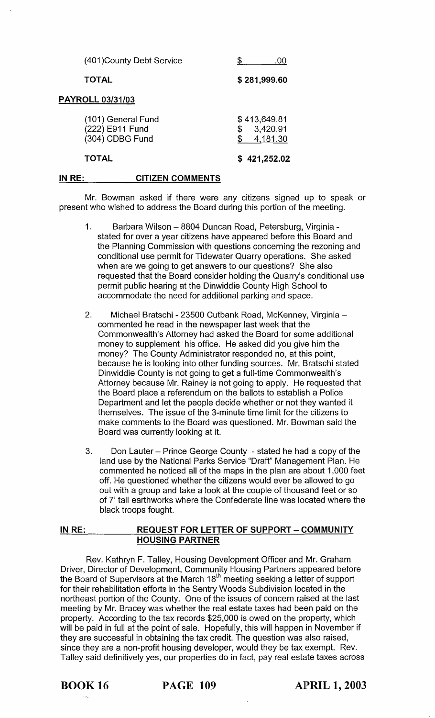|                                                          | (401) County Debt Service | .00                                        |
|----------------------------------------------------------|---------------------------|--------------------------------------------|
| <b>TOTAL</b>                                             |                           | \$281,999.60                               |
| <b>PAYROLL 03/31/03</b>                                  |                           |                                            |
| (101) General Fund<br>(222) E911 Fund<br>(304) CDBG Fund |                           | \$<br>\$413,649.81<br>3,420.91<br>4,181.30 |
| <b>TOTAL</b>                                             |                           | \$421,252.02                               |
| IN RE:                                                   | <b>CITIZEN COMMENTS</b>   |                                            |

Mr. Bowman asked if there were any citizens signed up to speak or present who wished to address the Board during this portion of the meeting.

- 1. Barbara Wilson 8804 Duncan Road, Petersburg, Virginia stated for over a year citizens have appeared before this Board and the Planning Commission with questions concerning the rezoning and conditional use permit for Tidewater Quarry operations. She asked when are we going to get answers to our questions? She also requested that the Board consider holding the Quarry's conditional use permit public hearing at the Dinwiddie County High School to accommodate the need for additional parking and space.
- 2. Michael Bratschi 23500 Cutbank Road, McKenney, Virginia commented he read in the newspaper last week that the Commonwealth's Attorney had asked the Board for some additional money to supplement his office. He asked did you give him the money? The County Administrator responded no, at this point, because he is looking into other funding sources. Mr. Bratschi stated Dinwiddie County is not going to get a full-time Commonwealth's Attorney because Mr. Rainey is not going to apply. He requested that the Board place a referendum on the ballots to establish a Police Department and let the people decide whether or not they wanted it themselves. The issue of the 3-minute time limit for the citizens to make comments to the Board was questioned. Mr. Bowman said the Board was currently looking at it.
- 3. Don Lauter Prince George County stated he had a copy of the land use by the National Parks Service "Draft" Management Plan. He commented he noticed all of the maps in the plan are about 1,000 feet off. He questioned whether the citizens would ever be allowed to go out with a group and take a look at the couple of thousand feet or so of 7' tall earthworks where the Confederate line was located where the black troops fought.

## **IN RE: REQUEST FOR LETTER OF SUPPORT - COMMUNITY HOUSING PARTNER**

Rev. Kathryn F. Talley, Housing Development Officer and Mr. Graham Driver, Director of Development, Community Housing Partners appeared before the Board of Supervisors at the March 18<sup>th</sup> meeting seeking a letter of support for their rehabilitation efforts in the Sentry Woods Subdivision located in the northeast portion of the County. One of the issues of concern raised at the last meeting by Mr. Bracey was whether the real estate taxes had been paid on the property. According to the tax records \$25,000 is owed on the property, which will be paid in full at the point of sale. Hopefully, this will happen in November if they are successful in obtaining the tax credit. The question was also raised, since they are a non-profit housing developer, would they be tax exempt. Rev. Talley said definitively yes, our properties do in fact, pay real estate taxes across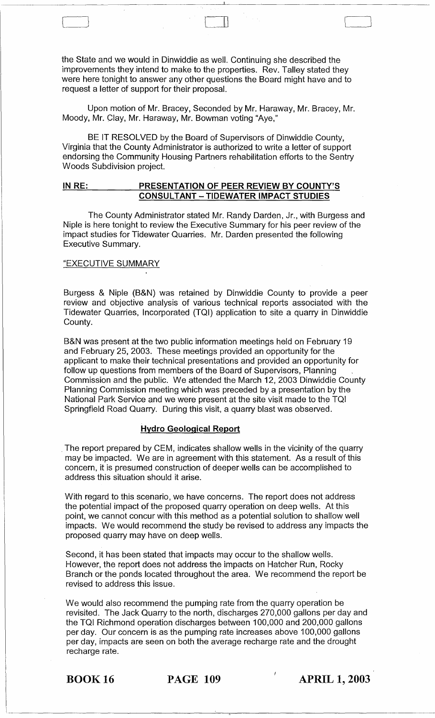the State and we would in Dinwiddie as well. Continuing she described the improvements they intend to make to the properties. Rev. Talley stated they were here tonight to answer any other questions the Board might have and to request a letter of support for their proposal.

Upon motion of Mr. Bracey, Seconded by Mr. Haraway, Mr. Bracey, Mr. Moody, Mr. Clay, Mr. Haraway, Mr. Bowman voting "Aye,"

BE IT RESOLVED by the Board of Supervisors of Dinwiddie County, Virginia that the County Administrator is authorized to write a letter of support endorsing the Community Housing Partners rehabilitation efforts to the Sentry Woods Subdivision project.

### **IN RE: PRESENTATION OF PEER REVIEW BY COUNTY'S CONSULTANT - TIDEWATER IMPACT STUDIES**

The County Administrator stated Mr. Randy Darden, Jr., with Burgess and Niple is here tonight to review the Executive Summary for his peer review of the impact studies for Tidewater Quarries. Mr. Darden presented the following Executive Summary.

#### "EXECUTIVE SUMMARY

Burgess & Niple (B&N) was retained by Dinwiddie County to provide a peer review and objective analysis of various technical reports associated with the Tidewater Quarries, Incorporated (TQI) application to site a quarry in Dinwiddie County.

B&N was present at the two public information meetings held on February 19 and February 25, 2003. These meetings provided an opportunity for the applicant to make their technical presentations and provided an opportunity for follow up questions from members of the Board of Supervisors, Planning Commission and the public. We attended the March 12, 2003 Dinwiddie County Planning Commission meeting which was preceded by a presentation by the National Park Service and we were present at the site visit made to the TQI Springfield Road Quarry. During this visit, a quarry blast was observed.

#### **Hydro Geological Report**

. The report prepared by CEM, indicates shallow wells in the vicinity of the quarry may be impacted. We are in agreement with this statement. As a result of this concern, it is presumed construction of deeper wells can be accomplished to address this situation should it arise.

With regard to this scenario, we have concerns. The report does not address the potential impact of the proposed quarry operation on deep wells. At this point, we cannot concur with this method as a potential solution to shallow well impacts. We would recommend the study be revised to address any impacts the proposed quarry may have on deep wells.

Second, it has been stated that impacts may occur to the shallow wells. However, the report does not address the impacts on Hatcher Run, Rocky Branch or the ponds located throughout the area. We recommend the report be revised to address this issue.

We would also recommend the pumping rate from the quarry operation be revisited. The Jack Quarry to the north, discharges 270,000 gallons per day and the TQI Richmond operation discharges between 100,000 and 200,000 gallons per day. Our concern is as the pumping rate increases above 100,000 gallons per day, impacts are seen on both the average recharge rate and the drought recharge rate.

BOOK 16 **PAGE 109 APRIL 1, 2003** 

 $\bigcap$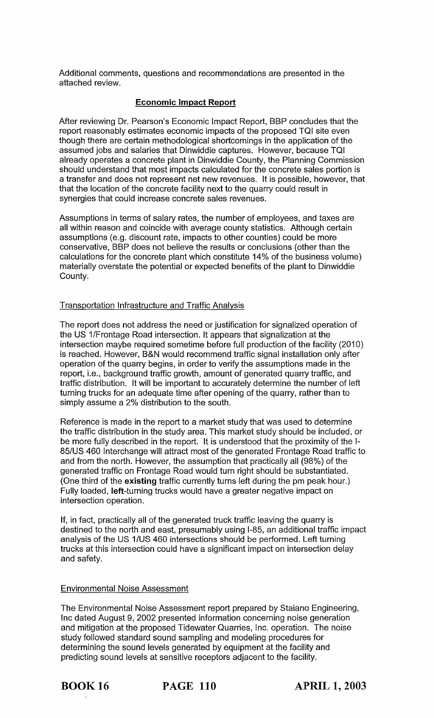Additional comments, questions and recommendations are presented in the attached review.

#### Economic Impact Report

After reviewing Dr. Pearson's Economic Impact Report, BBP concludes that the report reasonably estimates economic impacts of the proposed TOI site even though there are certain methodological shortcomings in the application of the assumed jobs and salaries that Dinwiddie captures. However, because TOI already operates a concrete plant in Dinwiddie County, the Planning Commission should understand that most impacts calculated for the concrete sales portion is a transfer and does not represent net new revenues. It is possible, however, that that the location of the concrete facility next to the quarry could result in synergies that could increase concrete sales revenues.

Assumptions in terms of salary rates, the number of employees, and taxes are all within reason and coincide with average county statistics. Although certain assumptions (e.g. discount rate, impacts to other counties) could be more conservative, BBP does not believe the results or conclusions (other than the calculations for the concrete plant which constitute 14% of the business volume) materially overstate the potential or expected benefits of the plant to Dinwiddie County.

### Transportation Infrastructure and Traffic Analysis

The report does not address the need or justification for signalized operation of the US 1/Frontage Road intersection. It appears that signalization at the intersection maybe required sometime before full production of the facility (2010) is reached. However, B&N would recommend traffic signal installation only after operation of the quarry begins, in order to verify the assumptions made in the report, i.e., background traffic growth, amount of generated quarry traffic, and traffic distribution. It will be important to accurately determine the number of left turning trucks for an adequate time after opening of the quarry, rather than to simply assume a 2% distribution to the south.

Reference is made in the report to a market study that was used to determine the traffic distribution in the study area. This market study should be included, or be more fully described in the report. It is understood that the proximity of the 1- 85/US 460 Interchange will attract most of the generated Frontage Road traffic to and from the north. However, the assumption that practically all (98%) of the generated traffic on Frontage Road would turn right should be substantiated. (One third of the existing traffic currently turns left during the pm peak hour.) Fully loaded, left-turning trucks would have a greater negative impact on intersection operation.

If, in fact, practically all of the generated truck traffic leaving the quarry is destined to the north and east, presumably using 1-85, an additional traffic impact analysis of the US 1/US 460 intersections should be performed. Left turning trucks at this intersection could have a significant impact on intersection delay and safety.

### Environmental Noise Assessment

The Environmental Noise Assessment report prepared by Staiano Engineering, Inc dated August 9, 2002 presented information concerning noise generation and mitigation at the proposed Tidewater Quarries, Inc. operation. The noise study followed standard sound sampling and modeling procedures for determining the sound levels generated by equipment at the facility and predicting sound levels at sensitive receptors adjacent to the facility.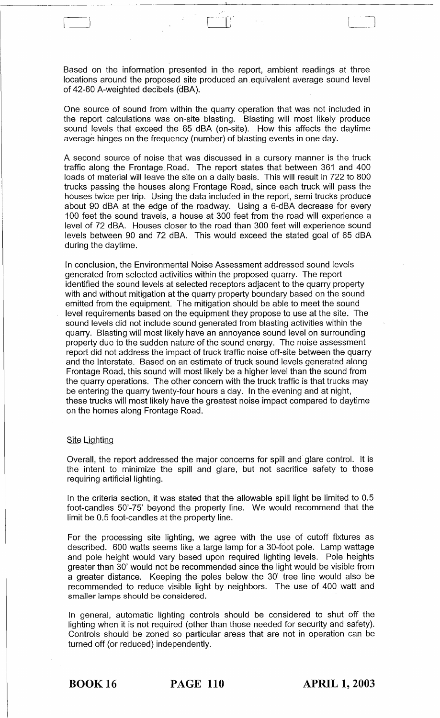Based on the information presented in the report, ambient readings at three locations around the proposed site produced an equivalent average sound level of 42-60 A-weighted decibels (dBA).

 $\begin{bmatrix} 1 & 1 & 1 \\ 1 & 1 & 1 \end{bmatrix}$ 

One source of sound from within the quarry operation that was not included in the report calculations was on-site blasting. Blasting will most likely produce sound levels that exceed the 65 dBA (on-site). How this affects the daytime average hinges on the frequency (number) of blasting events in one day.

A second source of noise that was discussed in a cursory manner is the truck traffic along the Frontage Road. The report states that between 361 and 400 loads of material will leave the site on a daily basis. This will result in 722 to 800 trucks passing the houses along Frontage Road, since each truck will pass the houses twice per trip. Using the data included in the report, semi trucks produce about 90 dBA at the edge of the roadway. Using a 6-dBA decrease for every 100 feet the sound travels, a house at 300 feet from the road will experience a level of 72 dBA. Houses closer to the road than 300 feet will experience sound levels between 90 and 72 dBA. This would exceed the stated goal of 65 dBA during the daytime.

In conclusion, the Environmental Noise Assessment addressed sound levels generated from selected activities within the proposed quarry. The report identified the sound levels at selected receptors adjacent to the quarry property with and without mitigation at the quarry property boundary based on the sound emitted from the equipment. The mitigation should be able to meet the sound level requirements based on the equipment they propose to use at the site. The sound levels did not include sound generated from blasting activities within the quarry. Blasting will most likely have an annoyance sound level on surrounding property due to the sudden nature of the sound energy. The noise assessment report did not address the impact of truck traffic noise off-site between the quarry and the Interstate. Based on an estimate of truck sound levels generated along Frontage Road, this sound will most likely be a higher level than the sound from the quarry operations. The other concern with the truck traffic is that trucks may be entering the quarry twenty-four hours a day. In the evening and at night, these trucks will most likely have the greatest noise impact compared to daytime on the homes along Frontage Road.

#### Site Lighting

Overall, the report addressed the major concerns for spill and glare control. It is the intent to minimize the spill and glare, but not sacrifice safety to those requiring artificial lighting.

In the criteria section, it was stated that the allowable spill light be limited to 0.5 foot-candles 50'-75' beyond the property line. We would recommend that the limit be 0.5 foot-candles at the property line.

For the processing site lighting, we agree with the use of cutoff fixtures as described. 600 watts seems like a large lamp for a 30-foot pole. Lamp wattage and pole height would vary based upon required lighting levels. Pole heights greater than 30' would not be recommended since the light would be visible from a greater distance. Keeping the poles below the 30' tree line would also be recommended to reduce visible light by neighbors. The use of 400 watt and smaller lamps should be considered.

In general, automatic lighting controls should be considered to shut off the lighting when it is not required (other than those needed for security and safety). Controls should be zoned so particular areas that are not in operation can be turned off (or reduced) independently.

BOOK 16 **PAGE 110 APRIL 1,2003**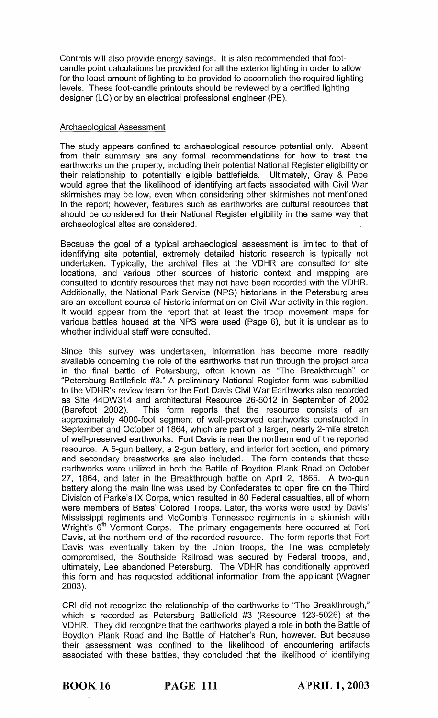Controls will also provide energy savings. It is also recommended that footcandle point calculations be provided for all the exterior lighting in order to allow for the least amount of lighting to be provided to accomplish the required lighting levels. These foot-candle printouts should be reviewed by a certified lighting designer (LC) or by an electrical professional engineer (PE).

## Archaeological Assessment

The study appears confined to archaeological resource potential only. Absent from their summary are any formal recommendations for how to treat the earthworks on the property, including their potential National Register eligibility or their relationship to potentially eligible battlefields. Ultimately, Gray & Pape would agree that the likelihood of identifying artifacts associated with Civil War skirmishes may be low, even when considering other skirmishes not mentioned in the report; however, features such as earthworks are cultural resources that should be considered for their National Register eligibility in the same way that archaeological sites are considered.

Because the goal of a typical archaeological assessment is limited to that of identifying site potential, extremely detailed historic research is typically not undertaken. Typically, the archival files at the VDHR are consulted for site locations, and various other sources of historic context and mapping are consulted to identify resources that may not have been recorded with the VDHR. Additionally, the National Park Service (NPS) historians in the Petersburg area are an excellent source of historic information on Civil War activity in this region. It would appear from the report that at least the troop movement maps for various battles housed at the NPS were used (Page 6), but it is unclear as to whether individual staff were consulted.

Since this survey was undertaken, information has become more readily available concerning the role of the earthworks that run through the project area in the final battle of Petersburg, often known as "The Breakthrough" or "Petersburg Battlefield #3." A preliminary National Register form was submitted to the VDHR's review team for the Fort Davis Civil War Earthworks also recorded as Site 44DW314 and architectural Resource 26-5012 in September of 2002 (Barefoot 2002). This form reports that the resource consists of an approximately 4000-foot segment of well-preserved earthworks constructed in September and October of 1864, which are part of a larger, nearly 2-mile stretch of well-preserved earthworks. Fort Davis is near the northern end of the reported resource. A 5-gun battery, a 2-gun battery, and interior fort section, and primary and secondary breastworks are also included. The form contends that these earthworks were utilized in both the Battle of Boydton Plank Road on October 27, 1864, and later in the Breakthrough battle on April 2, 1865. A two-gun battery along the main line was used by Confederates to open fire on the Third Division of Parke's IX Corps, which resulted in 80 Federal casualties, all of whom were members of Bates' Colored Troops. Later, the works were used by Davis' Mississippi regiments and McComb's Tennessee regiments in a skirmish with Wright's 6<sup>th</sup> Vermont Corps. The primary engagements here occurred at Fort Davis, at the northern end of the recorded resource. The form reports that Fort Davis was eventually taken by the Union troops, the line was completely compromised, the Southside Railroad was secured by Federal troops, and, ultimately, Lee abandoned Petersburg. The VDHR has conditionally approved this form and has requested additional information from the applicant (Wagner 2003).

CRI did not recognize the relationship of the earthworks to "The Breakthrough," which is recorded as Petersburg Battlefield #3 (Resource 123-5026) at the VDHR. They did recognize that the earthworks played a role in both the Battle of Boydton Plank Road and the Battle of Hatcher's Run, however. But because their assessment was confined to the likelihood of encountering artifacts associated with these battles, they concluded that the likelihood of identifying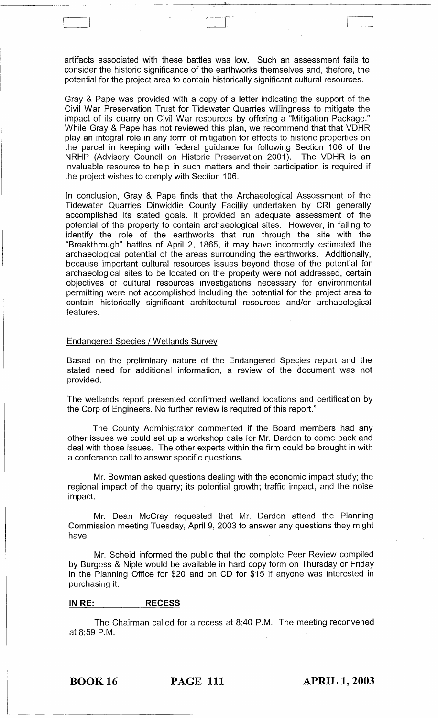artifacts associated with these battles was low. Such an· assessment fails to consider the historic significance of the earthworks themselves and, thefore, the potential for the project area to contain historically significant cultural resources.

 $\begin{bmatrix} 1 & 1 & 1 \ 1 & 1 & 1 \end{bmatrix}$ 

Gray & Pape was provided with a copy of a letter indicating the support of the Civil War Preservation Trust for Tidewater Quarries willingness to mitigate the impact of its quarry on Civil War resources by offering a "Mitigation Package." While Gray & Pape has not reviewed this plan, we recommend that that VDHR play an integral role in any form of mitigation for effects to historic properties on the parcel in keeping with federal guidance for following Section 106 of the NRHP (Advisory Council on Historic Preservation 2001). The VDHR is an invaluable resource to help in such matters and their participation is required if the project wishes to comply with Section 106.

In conclusion, Gray & Pape finds that the Archaeological Assessment of the Tidewater Quarries Dinwiddie County Facility undertaken by CRI generally accomplished its stated goals. It provided an adequate assessment of the potential of the property to contain archaeological sites. However, in failing to identify the role of the earthworks that run through the site with the "Breakthrough" battles of April 2, 1865, it may have incorrectly estimated the archaeological potential of the areas surrounding the earthworks. Additionally, because important cultural resources issues beyond those of the potential for archaeological sites to be located on the property were not addressed, certain objectives of cultural resources investigations necessary for environmental permitting were not accomplished including the potential for the project area to contain historically significant architectural resources and/or archaeological features.

### Endangered Species / Wetlands Survey

Based on the preliminary nature of the Endangered Species report and the stated need for additional information, a review of the document was not provided.

The wetlands report presented confirmed wetland locations and certification by the Corp of Engineers. No further review is required of this report."

The County Administrator commented if the Board members had any other issues we could set up a workshop date for Mr. Darden to come back and deal with those issues. The other experts within the firm could be brought in with a conference call to answer specific questions.

Mr. Bowman asked questions dealing with the economic impact study; the regional impact of the quarry; its potential growth; traffic impact, and the noise impact.

Mr. Dean McCray requested that Mr. Darden attend the Planning Commission meeting Tuesday, April 9, 2003 to answer any questions they might have.

Mr. Scheid informed the public that the complete Peer Review compiled by Burgess & Niple would be available in hard copy form on Thursday or Friday in the Planning Office for \$20 and on CD for \$15 if anyone was interested in purchasing it.

#### **IN RE: RECESS**

The Chairman called for a recess at 8:40 P.M. The meeting reconvened at 8:59 P.M.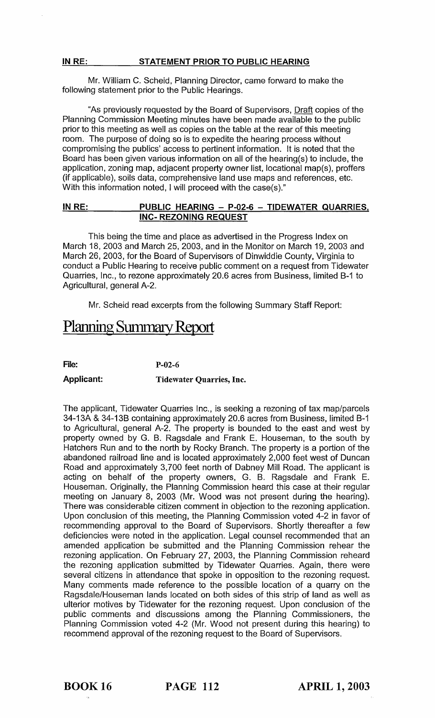Mr. William C. Scheid, Planning Director, came forward to make the following statement prior to the Public Hearings.

"As previously requested by the Board of Supervisors, Draft copies of the Planning Commission Meeting minutes have been made available to the public prior to this meeting as well as copies on the table at the rear of this meeting room. The purpose of doing so is to expedite the hearing process without compromising the publics' access to pertinent information. It is noted that the Board has been given various information on all of the hearing(s) to include, the application, zoning map, adjacent property owner list, locational map(s), proffers (if applicable), soils data, comprehensive land use maps and references, etc. With this information noted, I will proceed with the case(s)."

### IN RE: PUBLIC HEARING - P-02-6 - TIDEWATER QUARRIES. INC- REZONING REQUEST

This being the time and place as advertised in the Progress Index on March 18, 2003 and March 25, 2003, and in the Monitor on March 19, 2003 and March 26, 2003, for the Board of Supervisors of Dinwiddie County, Virginia to conduct a Public Hearing to receive public comment on a request from Tidewater Quarries, Inc., to rezone approximately 20.6 acres from Business, limited B-1 to Agricultural, general A-2.

Mr. Scheid read excerpts from the following Summary Staff Report:

# Planning Summary Report

File: P-02-6

Applicant: Tidewater Quarries, Inc.

The applicant, Tidewater Quarries Inc., is seeking a rezoning of tax map/parcels 34-13A & 34-13B containing approximately 20.6 acres from Business, limited B-1 to Agricultural, general A-2. The property is bounded to the east and west by property owned by G. B. Ragsdale and Frank E. Houseman, to the south by Hatchers Run and to the north by Rocky Branch. The property is a portion of the abandoned railroad line and is located approximately 2,000 feet west of Duncan Road and approximately 3,700 feet north of Dabney Mill Road. The applicant is acting on behalf of the property owners, G. B. Ragsdale and Frank E. Houseman. Originally, the Planning Commission heard this case at their regular meeting on January 8, 2003 (Mr. Wood was not present during the hearing). There was considerable citizen comment in objection to the rezoning application. Upon conclusion of this meeting, the Planning Commission voted 4-2 in favor of recommending approval to the Board of Supervisors. Shortly thereafter a few deficiencies were noted in the application. Legal counsel recommended that an amended application be submitted and the Planning Commission rehear the rezoning application. On February 27, 2003, the Planning Commission reheard the rezoning application submitted by Tidewater Quarries. Again, there were several citizens in attendance that spoke in opposition to the rezoning request. Many comments made reference to the possible location of a quarry on the Ragsdale/Houseman lands located on both sides of this strip of land as well as ulterior motives by Tidewater for the rezoning request. Upon conclusion of the public comments and discussions among the Planning Commissioners, the Planning Commission voted 4-2 (Mr. Wood not present during this hearing) to recommend approval of the rezoning request to the Board of Supervisors.

BOOK 16 PAGE 112 APRIL 1, 2003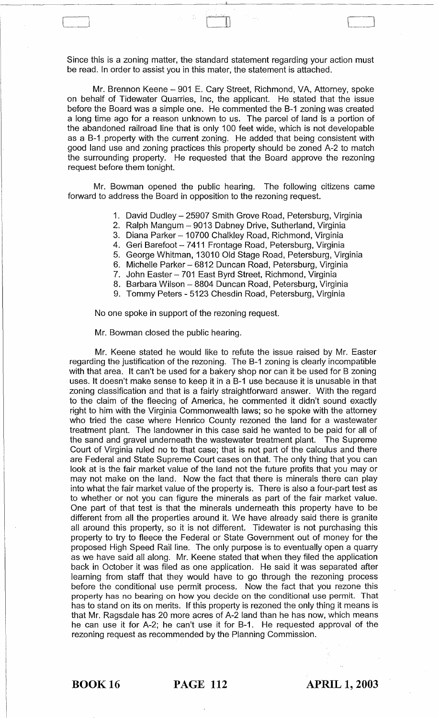Since this is a zoning matter, the standard statement regarding your action must be read. In order to assist you in this mater, the statement is attached.

 $\begin{bmatrix} 1 & 1 & 1 \\ 1 & 1 & 1 \end{bmatrix}$ 

Mr. Brennon Keene - 901 E. Cary Street, Richmond, VA, Attorney, spoke on behalf of Tidewater Quarries, Inc, the applicant. He stated that the issue before the Board was a simple one. He commented the B-1 zoning was created a long time ago for a reason unknown to us. The parcel of land is a portion of the abandoned railroad line that is only 100 feet wide, which is not developable as a B-1 . property with the current zoning. He added that being consistent with good land use and zoning practices this property should be zoned A-2 to match the surrounding property. He requested that the Board approve the rezoning request before them tonight.

Mr. Bowman opened the public hearing. The following citizens came forward to address the Board in opposition to the rezoning request.

- 1. David Dudley 25907 Smith Grove Road, Petersburg, Virginia
- 2. Ralph Mangum 9013 Dabney Drive, Sutherland, Virginia
- 3. Diana Parker 10700 Chalkley Road, Richmond, Virginia
- 4. Geri Barefoot 7411 Frontage Road, Petersburg, Virginia
- 5. George Whitman, 13010 Old Stage Road, Petersburg, Virginia
- 6. Michelle Parker 6812 Duncan Road, Petersburg, Virginia
- 7. John Easter 701 East Byrd Street, Richmond, Virginia
- 8. Barbara Wilson 8804 Duncan Road, Petersburg, Virginia
- 9. Tommy Peters 5123 Chesdin Road, Petersburg, Virginia

No one spoke in support of the rezoning request.

Mr. Bowman closed the public hearing.

Mr. Keene stated he would like to refute the issue raised by Mr. Easter regarding the justification of the rezoning. The B-1 zoning is clearly incompatible with that area. It can't be used for a bakery shop nor can it be used for B zoning uses. It doesn't make sense to keep it in a B-1 use because it is unusable in that zoning classification and that is a fairly straightforward answer. With the regard to the claim of the fleecing of America, he commented it didn't sound exactly right to him with the Virginia Commonwealth laws; so he spoke with the attorney who tried the case where Henrico County rezoned the land for a wastewater treatment plant. The landowner in this case said he wanted to be paid for all of the sand and gravel underneath the wastewater treatment plant. The Supreme Court of Virginia ruled no to that case; that is not part of the calculus and there are Federal and State Supreme Court cases on that. The only thing that you can look at is the fair market value of the land not the future profits that you may or may not make on the land. Now the fact that there is minerals there can play into what the fair market value of the property is. There is also a four-part test as to whether or not you can figure the minerals as part of the fair market value. One part of that test is that the minerals underneath this property have to be different from all the properties around it. We have already said there is granite all around this property, so it is not different. Tidewater is not purchasing this property to try to fleece the Federal or State Government out of money for the proposed High Speed Rail line. The only purpose is to eventually open a quarry as we have said all along. Mr. Keene stated that when they filed the application back in October it was filed as one application. He said it was separated after learning from staff that they would have to go through the rezoning process before the conditional use permit process. Now the fact that you rezone this property has no bearing on how you decide on the conditional use permit. That has to stand on its on merits. If this property is rezoned the only thing it means is that Mr. Ragsdale has 20 more acres of A-2 land than he has now, which means he can use it for A-2; he can't use it for B-1. He requested approval of the rezoning request as recommended by the Planning Commission.

BOOK 16 PAGE 112 APRIL 1, 2003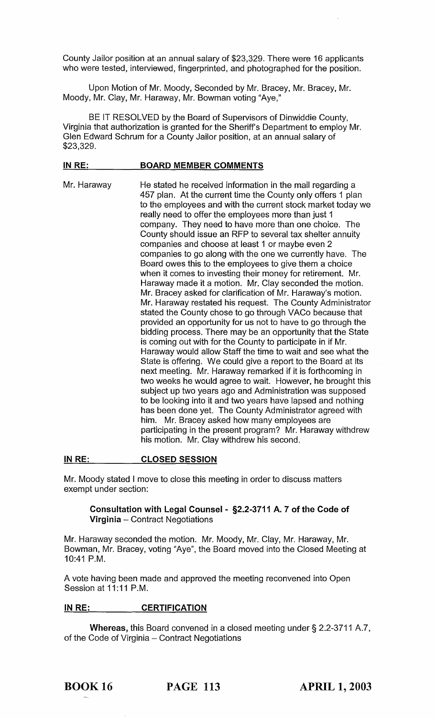County Jailor position at an annual salary of \$23,329. There were 16 applicants who were tested, interviewed, fingerprinted, and photographed for the position.

Upon Motion of Mr. Moody, Seconded by Mr. Bracey, Mr. Bracey, Mr. Moody, Mr. Clay, Mr. Haraway, Mr. Bowman voting "Aye,"

BE IT RESOLVED by the Board of Supervisors of Dinwiddie County, Virginia that authorization is granted for the Sheriff's Department to employ Mr. Glen Edward Schrum for a County Jailor position, at an annual salary of \$23,329.

#### IN RE: BOARD MEMBER COMMENTS

Mr. Haraway He stated he received information in the mail regarding a 457 plan. At the current time the County only offers 1 plan to the employees and with the current stock market today we really need to offer the employees more than just 1 company. They need to have more than one choice. The County should issue an RFP to several tax shelter annuity companies and choose at least 1 or maybe even 2 companies to go along with the one we currently have. The Board owes this to the employees to give them a choice when it comes to investing their money for retirement. Mr. Haraway made it a motion. Mr. Clay seconded the motion. Mr. Bracey asked for clarification of Mr. Haraway's motion. Mr. Haraway restated his request. The County Administrator stated the County chose to go through VACo because that provided an opportunity for us not to have to go through the bidding process. There may be an opportunity that the State is coming out with for the County to participate in if Mr. Haraway would allow Staff the time to wait and see what the State is offering. We could give a report to the Board at its next meeting. Mr. Haraway remarked if it is forthcoming in two weeks he would agree to wait. However, he brought this subject up two years ago and Administration was supposed to be looking into it and two years have lapsed and nothing has been done yet. The County Administrator agreed with him. Mr. Bracey asked how many employees are participating in the present program? Mr. Haraway withdrew his motion. Mr. Clay withdrew his second.

#### IN RE: CLOSED SESSION

Mr. Moody stated I move to close this meeting in order to discuss matters exempt under section:

#### Consultation with Legal Counsel - §2.2-3711 A. 7 of the Code of Virginia - Contract Negotiations

Mr. Haraway seconded the motion. Mr. Moody, Mr. Clay, Mr. Haraway, Mr. Bowman, Mr. Bracey, voting "Aye", the Board moved into the Closed Meeting at 10:41 P.M.

A vote having been made and approved the meeting reconvened into Open Session at 11:11 P.M.

### IN RE: CERTIFICATION

Whereas, this Board convened in a closed meeting under § 2.2-3711 A.7, of the Code of Virginia - Contract Negotiations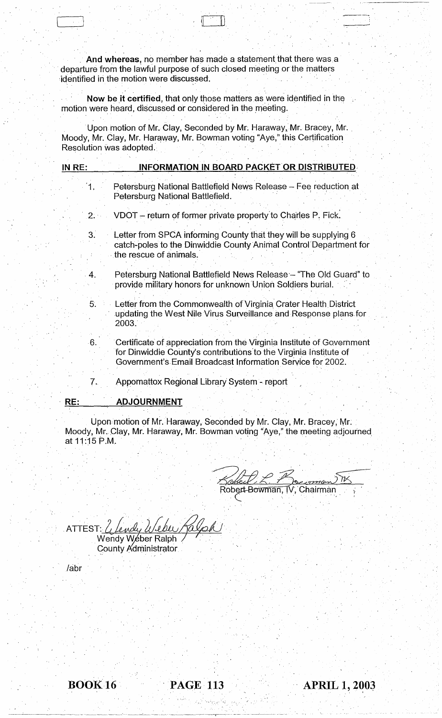And whereas, no member has made a statement that there was a departure from the lawful purpose of such closed meeting or the matters identified in the motion were discussed.

J ,  $\mathbb{E}[\mathcal{A}]\rightarrow\mathbb{E}[\mathcal{A}]\rightarrow\mathbb{E}[\mathcal{A}]$ 

Now be it certified, that only those matters as were identified in the motion were heard, discussed or considered in the meeting.

Upon motion of Mr. Clay, Seconded by Mr. Haraway, Mr. Bracey, Mr. Moody, Mr. Clay, Mr. Haraway, Mr. Bowman voting "Aye," this Certification<br>Resolution was adopted.

| IN RE: | <b>INFORMATION IN BOARD PACKET OR DISTRIBUTED</b>                                                                                                                                                        |
|--------|----------------------------------------------------------------------------------------------------------------------------------------------------------------------------------------------------------|
| 1.     | Petersburg National Battlefield News Release - Fee reduction at<br>Petersburg National Battlefield.                                                                                                      |
| 2.1    | VDOT - return of former private property to Charles P. Fick.                                                                                                                                             |
| 3.     | Letter from SPCA informing County that they will be supplying 6<br>catch-poles to the Dinwiddie County Animal Control Department for<br>the rescue of animals.                                           |
| 4.     | Petersburg National Battlefield News Release - "The Old Guard" to<br>provide military honors for unknown Union Soldiers burial.                                                                          |
| 5.     | Letter from the Commonwealth of Virginia Crater Health District<br>updating the West Nile Virus Surveillance and Response plans for<br>2003.                                                             |
| ۰6.    | Certificate of appreciation from the Virginia Institute of Government<br>for Dinwiddie County's contributions to the Virginia Institute of<br>Government's Email Broadcast Information Service for 2002. |
| 7.     | Appomattox Regional Library System - report                                                                                                                                                              |
| RE:    | <b>ADJOURNMENT</b>                                                                                                                                                                                       |

Upon motion of Mr. Haraway, Seconded by Mr. Clay, Mr. Bracey, Mr. Moody, Mr. Clay, Mr. Haraway, Mr. Bowman voting "Aye," the meeting adjourned at 11:15 P.M.

Robert-Bowman, **Chairman** l

. ATTEST: *L{,.L .. UtA'0i* w~/ I~~

Wendy Weber Ralph County Administrator

/abr

1



"-~ - -~~-------- -~-~. ~--.---'-'- -.--~~---~-~-~.- -- -- ~-' ~-----

',,' ' .. ;

**APRIL 1, 2003**